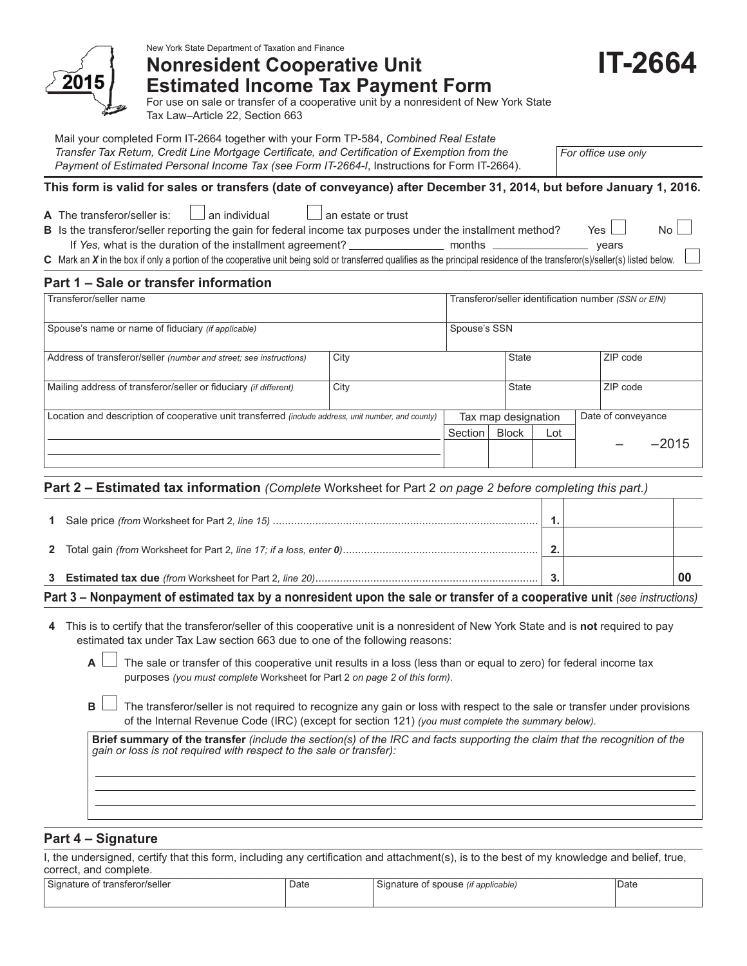

New York State Department of Taxation and Finance

# **Nonresident Cooperative Unit Estimated Income Tax Payment Form**

For use on sale or transfer of a cooperative unit by a nonresident of New York State Tax Law–Article 22, Section 663

Mail your completed Form IT-2664 together with your Form TP-584, *Combined Real Estate Transfer Tax Return, Credit Line Mortgage Certificate, and Certification of Exemption from the* 

*Payment of Estimated Personal Income Tax (see Form IT-2664-I*, Instructions for Form IT-2664).

*For office use only*

# **This form is valid for sales or transfers (date of conveyance) after December 31, 2014, but before January 1, 2016.**

|  | A Tha tranefaror/ealla |
|--|------------------------|

**A**  $\Box$  an individual an estate or trust

**B** Is the transferor/seller reporting the gain for federal income tax purposes under the installment method? Yes  $\Box$  No If *Yes,* what is the duration of the installment agreement? months years

**C** Mark an *X* in the box if only a portion of the cooperative unit being sold or transferred qualifies as the principal residence of the transferor(s)/seller(s) listed below.

# **Part 1 – Sale or transfer information**

| Transferor/seller name                                                                              |              |         | Transferor/seller identification number (SSN or EIN) |                          |  |          |         |
|-----------------------------------------------------------------------------------------------------|--------------|---------|------------------------------------------------------|--------------------------|--|----------|---------|
| Spouse's name or name of fiduciary (if applicable)                                                  | Spouse's SSN |         |                                                      |                          |  |          |         |
| City<br>Address of transferor/seller (number and street; see instructions)                          |              |         |                                                      | <b>State</b><br>ZIP code |  |          |         |
| Mailing address of transferor/seller or fiduciary (if different)                                    | City         |         | <b>State</b>                                         |                          |  | ZIP code |         |
| Location and description of cooperative unit transferred (include address, unit number, and county) |              |         | Date of conveyance<br>Tax map designation            |                          |  |          |         |
|                                                                                                     |              | Section | <b>Block</b>                                         | Lot                      |  |          |         |
|                                                                                                     |              |         |                                                      |                          |  |          | $-2015$ |
|                                                                                                     |              |         |                                                      |                          |  |          |         |

# **Part 2 – Estimated tax information** *(Complete* Worksheet for Part 2 *on page 2 before completing this part.)*

| . The contract of the contract of the contract of the contract of the contract of the contract of the contract of the contract of the contract of the contract of the contract of the contract of the contract of the contrac |  |  |
|-------------------------------------------------------------------------------------------------------------------------------------------------------------------------------------------------------------------------------|--|--|

# **Part 3 – Nonpayment of estimated tax by a nonresident upon the sale or transfer of a cooperative unit** *(see instructions)*

**4** This is to certify that the transferor/seller of this cooperative unit is a nonresident of New York State and is **not** required to pay estimated tax under Tax Law section 663 due to one of the following reasons:

**A**  $\Box$  The sale or transfer of this cooperative unit results in a loss (less than or equal to zero) for federal income tax purposes *(you must complete* Worksheet for Part 2 *on page 2 of this form)*.

**B**  $\Box$  The transferor/seller is not required to recognize any gain or loss with respect to the sale or transfer under provisions of the Internal Revenue Code (IRC) (except for section 121) *(you must complete the summary below)*.

**Brief summary of the transfer** *(include the section(s) of the IRC and facts supporting the claim that the recognition of the gain or loss is not required with respect to the sale or transfer):*

# **Part 4 – Signature**

I, the undersigned, certify that this form, including any certification and attachment(s), is to the best of my knowledge and belief, true, correct, and complete.

| $\sim$<br>i transferor/seller<br>Signature J<br>: ОТ | Date | $\overline{\phantom{0}}$<br>spouse<br>' applicable)<br>siar<br>OT.<br>чаше.<br>$\cdots$ | Date |
|------------------------------------------------------|------|-----------------------------------------------------------------------------------------|------|
|                                                      |      |                                                                                         |      |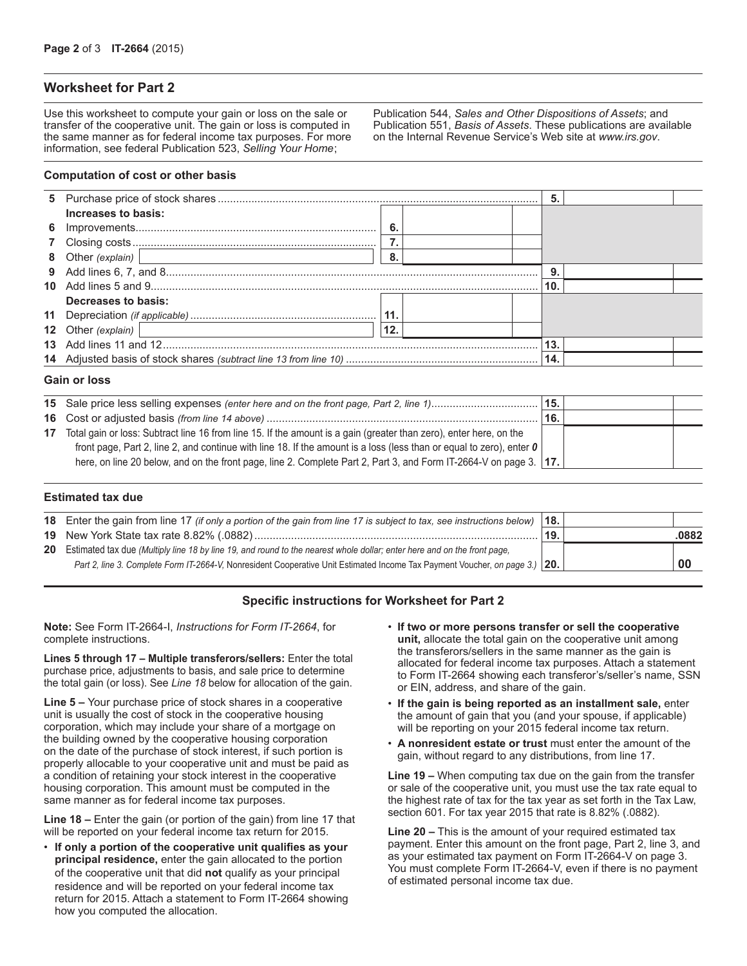# **Worksheet for Part 2**

Use this worksheet to compute your gain or loss on the sale or transfer of the cooperative unit. The gain or loss is computed in the same manner as for federal income tax purposes. For more information, see federal Publication 523, *Selling Your Home*;

#### **Computation of cost or other basis**

|                     |     | 5.  |  |
|---------------------|-----|-----|--|
| Increases to basis: |     |     |  |
|                     | -6  |     |  |
|                     |     |     |  |
|                     | 8   |     |  |
|                     |     | 9.  |  |
|                     |     | 10. |  |
| Decreases to basis: |     |     |  |
|                     | 11. |     |  |
| 12 Other (explain)  | 12. |     |  |
|                     |     | 13. |  |
|                     |     | 14. |  |
| Cain or loop        |     |     |  |

#### **Gain or loss**

|    |                                                                                                                             | 15. |  |
|----|-----------------------------------------------------------------------------------------------------------------------------|-----|--|
|    |                                                                                                                             | 16. |  |
| 17 | Total gain or loss: Subtract line 16 from line 15. If the amount is a gain (greater than zero), enter here, on the          |     |  |
|    | front page, Part 2, line 2, and continue with line 18. If the amount is a loss (less than or equal to zero), enter $\theta$ |     |  |
|    | here, on line 20 below, and on the front page, line 2. Complete Part 2, Part 3, and Form IT-2664-V on page 3.   17.         |     |  |

#### **Estimated tax due**

| 18 Enter the gain from line 17 (if only a portion of the gain from line 17 is subject to tax, see instructions below)         | 18. |       |
|-------------------------------------------------------------------------------------------------------------------------------|-----|-------|
|                                                                                                                               | 19. | .0882 |
| 20 Estimated tax due (Multiply line 18 by line 19, and round to the nearest whole dollar; enter here and on the front page,   |     |       |
| Part 2, line 3. Complete Form IT-2664-V, Nonresident Cooperative Unit Estimated Income Tax Payment Voucher, on page 3.) [20.] |     | 00    |
|                                                                                                                               |     |       |

# **Specific instructions for Worksheet for Part 2**

**Note:** See Form IT-2664-I, *Instructions for Form IT-2664*, for complete instructions.

**Lines 5 through 17 – Multiple transferors/sellers:** Enter the total purchase price, adjustments to basis, and sale price to determine the total gain (or loss). See *Line 18* below for allocation of the gain.

**Line 5 –** Your purchase price of stock shares in a cooperative unit is usually the cost of stock in the cooperative housing corporation, which may include your share of a mortgage on the building owned by the cooperative housing corporation on the date of the purchase of stock interest, if such portion is properly allocable to your cooperative unit and must be paid as a condition of retaining your stock interest in the cooperative housing corporation. This amount must be computed in the same manner as for federal income tax purposes.

**Line 18 –** Enter the gain (or portion of the gain) from line 17 that will be reported on your federal income tax return for 2015.

• **If only a portion of the cooperative unit qualifies as your principal residence,** enter the gain allocated to the portion of the cooperative unit that did **not** qualify as your principal residence and will be reported on your federal income tax return for 2015. Attach a statement to Form IT-2664 showing how you computed the allocation.

• **If two or more persons transfer or sell the cooperative unit,** allocate the total gain on the cooperative unit among the transferors/sellers in the same manner as the gain is allocated for federal income tax purposes. Attach a statement to Form IT-2664 showing each transferor's/seller's name, SSN or EIN, address, and share of the gain.

Publication 544, *Sales and Other Dispositions of Assets*; and Publication 551, *Basis of Assets*. These publications are available on the Internal Revenue Service's Web site at *www.irs.gov*.

- **If the gain is being reported as an installment sale,** enter the amount of gain that you (and your spouse, if applicable) will be reporting on your 2015 federal income tax return.
- **A nonresident estate or trust** must enter the amount of the gain, without regard to any distributions, from line 17.

**Line 19 –** When computing tax due on the gain from the transfer or sale of the cooperative unit, you must use the tax rate equal to the highest rate of tax for the tax year as set forth in the Tax Law, section 601. For tax year 2015 that rate is 8.82% (.0882).

**Line 20 –** This is the amount of your required estimated tax payment. Enter this amount on the front page, Part 2, line 3, and as your estimated tax payment on Form IT-2664-V on page 3. You must complete Form IT‑2664‑V, even if there is no payment of estimated personal income tax due.